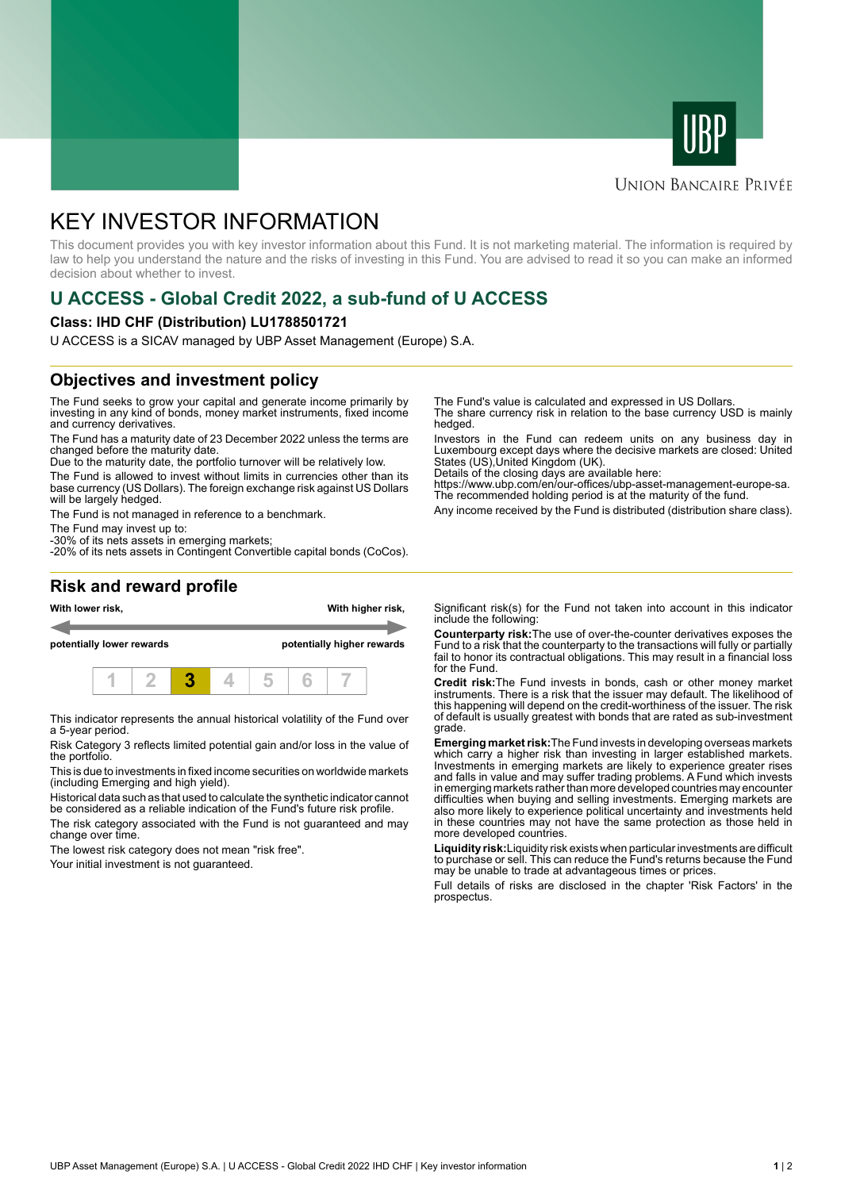



#### **UNION BANCAIRE PRIVÉE**

# KEY INVESTOR INFORMATION

This document provides you with key investor information about this Fund. It is not marketing material. The information is required by law to help you understand the nature and the risks of investing in this Fund. You are advised to read it so you can make an informed decision about whether to invest.

## **U ACCESS - Global Credit 2022, a sub-fund of U ACCESS**

#### **Class: IHD CHF (Distribution) LU1788501721**

U ACCESS is a SICAV managed by UBP Asset Management (Europe) S.A.

### **Objectives and investment policy**

The Fund seeks to grow your capital and generate income primarily by investing in any kind of bonds, money market instruments, fixed income and currency derivatives.

The Fund has a maturity date of 23 December 2022 unless the terms are changed before the maturity date.

Due to the maturity date, the portfolio turnover will be relatively low.

The Fund is allowed to invest without limits in currencies other than its base currency (US Dollars). The foreign exchange risk against US Dollars will be largely hedged.

The Fund is not managed in reference to a benchmark.

The Fund may invest up to:

-30% of its nets assets in emerging markets; -20% of its nets assets in Contingent Convertible capital bonds (CoCos). The Fund's value is calculated and expressed in US Dollars.

The share currency risk in relation to the base currency USD is mainly hedged.

Investors in the Fund can redeem units on any business day in Luxembourg except days where the decisive markets are closed: United States (US),United Kingdom (UK).

Details of the closing days are available here:

https://www.ubp.com/en/our-offices/ubp-asset-management-europe-sa. The recommended holding period is at the maturity of the fund.

Any income received by the Fund is distributed (distribution share class).

#### **Risk and reward profile**



This indicator represents the annual historical volatility of the Fund over a 5-year period.

Risk Category 3 reflects limited potential gain and/or loss in the value of the portfolio.

This is due to investments in fixed income securities on worldwide markets (including Emerging and high yield).

Historical data such as that used to calculate the synthetic indicator cannot be considered as a reliable indication of the Fund's future risk profile.

The risk category associated with the Fund is not guaranteed and may change over time.

The lowest risk category does not mean "risk free".

Your initial investment is not guaranteed.

Significant risk(s) for the Fund not taken into account in this indicator include the following:

**Counterparty risk:**The use of over-the-counter derivatives exposes the Fund to a risk that the counterparty to the transactions will fully or partially fail to honor its contractual obligations. This may result in a financial loss for the Fund.

**Credit risk:**The Fund invests in bonds, cash or other money market instruments. There is a risk that the issuer may default. The likelihood of this happening will depend on the credit-worthiness of the issuer. The risk of default is usually greatest with bonds that are rated as sub-investment grade.

**Emerging market risk:**The Fund invests in developing overseas markets which carry a higher risk than investing in larger established markets. Investments in emerging markets are likely to experience greater rises and falls in value and may suffer trading problems. A Fund which invests in emerging markets rather than more developed countries may encounter difficulties when buying and selling investments. Emerging markets are also more likely to experience political uncertainty and investments held in these countries may not have the same protection as those held in more developed countries.

**Liquidity risk:**Liquidity risk exists when particular investments are difficult to purchase or sell. This can reduce the Fund's returns because the Fund may be unable to trade at advantageous times or prices

Full details of risks are disclosed in the chapter 'Risk Factors' in the prospectus.